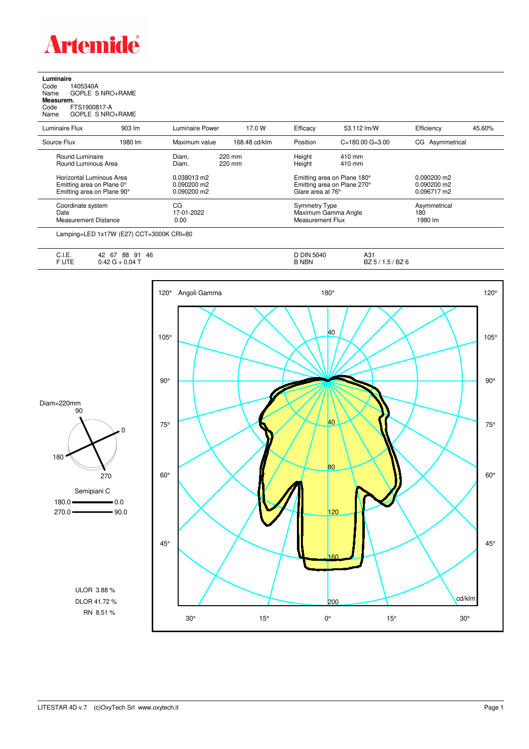

**Luminaire**<br>Code 1<br>Name ( Code 1405340A Name GOPLE S NRO+RAME **Measurem.**

Code FTS1900817-A Name GOPLE S NRO+RAME

| Luminaire Flux                                                                      | 903 lm  | Luminaire Power                             | 17.0 W           | Efficacy                                        | 53.112 lm/W                                                | Efficiency                                    | 45.60% |
|-------------------------------------------------------------------------------------|---------|---------------------------------------------|------------------|-------------------------------------------------|------------------------------------------------------------|-----------------------------------------------|--------|
| Source Flux                                                                         | 1980 lm | Maximum value                               | 168.48 cd/klm    | Position                                        | $C = 180.00$ $G = 3.00$                                    | CG Asymmetrical                               |        |
| Round Luminaire<br>Round Luminous Area                                              |         | Diam.<br>Diam.                              | 220 mm<br>220 mm | Height<br>Height                                | $410 \text{ mm}$<br>410 mm                                 |                                               |        |
| Horizontal Luminous Area<br>Emitting area on Plane 0°<br>Emitting area on Plane 90° |         | 0.038013 m2<br>0.090200 m2<br>$0.090200$ m2 |                  | Glare area at 76°                               | Emitting area on Plane 180°<br>Emitting area on Plane 270° | $0.090200$ m2<br>$0.090200$ m2<br>0.096717 m2 |        |
| Coordinate system<br>Date<br><b>Measurement Distance</b>                            |         | CG<br>17-01-2022<br>0.00                    |                  | <b>Symmetry Type</b><br><b>Measurement Flux</b> | Maximum Gamma Angle                                        | Asymmetrical<br>180<br>1980 lm                |        |

Lamping=LED 1x17W (E27) CCT=3000K CRI=80

| ◡.୲.∟.         | 88<br>46<br>67<br>ດ+<br>42<br>$\cdot$ | <b>DIN 5040</b> | A31                     |
|----------------|---------------------------------------|-----------------|-------------------------|
| $-1.7-$<br>. . | $0.04$ $\tau$<br>$\sqrt{ }$<br>◡…     | <b>B NBN</b>    | BZ 6<br><br>DZ J<br>. . |